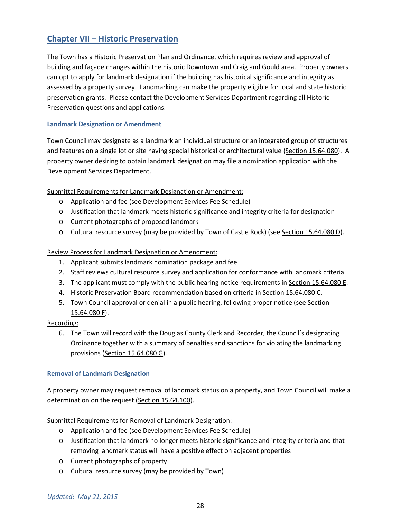# **Chapter VII – Historic Preservation**

The Town has a Historic Preservation Plan and Ordinance, which requires review and approval of building and façade changes within the historic Downtown and Craig and Gould area. Property owners can opt to apply for landmark designation if the building has historical significance and integrity as assessed by a property survey. Landmarking can make the property eligible for local and state historic preservation grants. Please contact the Development Services Department regarding all Historic Preservation questions and applications.

## **Landmark Designation or Amendment**

Town Council may designate as a landmark an individual structure or an integrated group of structures and features on a single lot or site having special historical or architectural value (Section 15.64.080). A property owner desiring to obtain landmark designation may file a nomination application with the Development Services Department.

## Submittal Requirements for Landmark Designation or Amendment:

- o Application and fee (see Development Services Fee Schedule)
- o Justification that landmark meets historic significance and integrity criteria for designation
- o Current photographs of proposed landmark
- o Cultural resource survey (may be provided by Town of Castle Rock) (see Section 15.64.080 D).

## Review Process for Landmark Designation or Amendment:

- 1. Applicant submits landmark nomination package and fee
- 2. Staff reviews cultural resource survey and application for conformance with landmark criteria.
- 3. The applicant must comply with the public hearing notice requirements in Section 15.64.080 E.
- 4. Historic Preservation Board recommendation based on criteria in Section 15.64.080 C.
- 5. Town Council approval or denial in a public hearing, following proper notice (see Section 15.64.080 F).

#### Recording:

6. The Town will record with the Douglas County Clerk and Recorder, the Council's designating Ordinance together with a summary of penalties and sanctions for violating the landmarking provisions (Section 15.64.080 G).

#### **Removal of Landmark Designation**

A property owner may request removal of landmark status on a property, and Town Council will make a determination on the request (Section 15.64.100).

#### Submittal Requirements for Removal of Landmark Designation:

- o Application and fee (see Development Services Fee Schedule)
- o Justification that landmark no longer meets historic significance and integrity criteria and that removing landmark status will have a positive effect on adjacent properties
- o Current photographs of property
- o Cultural resource survey (may be provided by Town)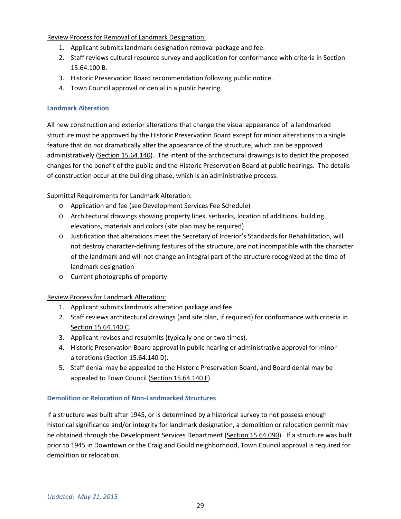Review Process for Removal of Landmark Designation:

- 1. Applicant submits landmark designation removal package and fee.
- 2. Staff reviews cultural resource survey and application for conformance with criteria in Section 15.64.100 B.
- 3. Historic Preservation Board recommendation following public notice.
- 4. Town Council approval or denial in a public hearing.

### **Landmark Alteration**

All new construction and exterior alterations that change the visual appearance of a landmarked structure must be approved by the Historic Preservation Board except for minor alterations to a single feature that do *not* dramatically alter the appearance of the structure, which can be approved administratively (Section 15.64.140). The intent of the architectural drawings is to depict the proposed changes for the benefit of the public and the Historic Preservation Board at public hearings. The details of construction occur at the building phase, which is an administrative process.

## Submittal Requirements for Landmark Alteration:

- o Application and fee (see Development Services Fee Schedule)
- o Architectural drawings showing property lines, setbacks, location of additions, building elevations, materials and colors (site plan may be required)
- o Justification that alterations meet the Secretary of Interior's Standards for Rehabilitation, will not destroy character-defining features of the structure, are not incompatible with the character of the landmark and will not change an integral part of the structure recognized at the time of landmark designation
- o Current photographs of property

#### Review Process for Landmark Alteration:

- 1. Applicant submits landmark alteration package and fee.
- 2. Staff reviews architectural drawings (and site plan, if required) for conformance with criteria in Section 15.64.140 C.
- 3. Applicant revises and resubmits (typically one or two times).
- 4. Historic Preservation Board approval in public hearing or administrative approval for minor alterations (Section 15.64.140 D).
- 5. Staff denial may be appealed to the Historic Preservation Board, and Board denial may be appealed to Town Council (Section 15.64.140 F).

#### **Demolition or Relocation of Non-Landmarked Structures**

If a structure was built after 1945, or is determined by a historical survey to not possess enough historical significance and/or integrity for landmark designation, a demolition or relocation permit may be obtained through the Development Services Department (Section 15.64.090). If a structure was built prior to 1945 in Downtown or the Craig and Gould neighborhood, Town Council approval is required for demolition or relocation.